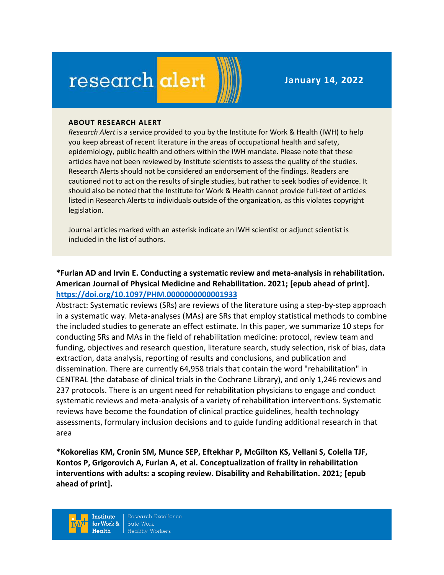# research alert

**January 14, 2022**

#### **ABOUT RESEARCH ALERT**

*Research Alert* is a service provided to you by the Institute for Work & Health (IWH) to help you keep abreast of recent literature in the areas of occupational health and safety, epidemiology, public health and others within the IWH mandate. Please note that these articles have not been reviewed by Institute scientists to assess the quality of the studies. Research Alerts should not be considered an endorsement of the findings. Readers are cautioned not to act on the results of single studies, but rather to seek bodies of evidence. It should also be noted that the Institute for Work & Health cannot provide full-text of articles listed in Research Alerts to individuals outside of the organization, as this violates copyright legislation.

Journal articles marked with an asterisk indicate an IWH scientist or adjunct scientist is included in the list of authors.

# **\*Furlan AD and Irvin E. Conducting a systematic review and meta-analysis in rehabilitation. American Journal of Physical Medicine and Rehabilitation. 2021; [epub ahead of print]. <https://doi.org/10.1097/PHM.0000000000001933>**

Abstract: Systematic reviews (SRs) are reviews of the literature using a step-by-step approach in a systematic way. Meta-analyses (MAs) are SRs that employ statistical methods to combine the included studies to generate an effect estimate. In this paper, we summarize 10 steps for conducting SRs and MAs in the field of rehabilitation medicine: protocol, review team and funding, objectives and research question, literature search, study selection, risk of bias, data extraction, data analysis, reporting of results and conclusions, and publication and dissemination. There are currently 64,958 trials that contain the word "rehabilitation" in CENTRAL (the database of clinical trials in the Cochrane Library), and only 1,246 reviews and 237 protocols. There is an urgent need for rehabilitation physicians to engage and conduct systematic reviews and meta-analysis of a variety of rehabilitation interventions. Systematic reviews have become the foundation of clinical practice guidelines, health technology assessments, formulary inclusion decisions and to guide funding additional research in that area

**\*Kokorelias KM, Cronin SM, Munce SEP, Eftekhar P, McGilton KS, Vellani S, Colella TJF, Kontos P, Grigorovich A, Furlan A, et al. Conceptualization of frailty in rehabilitation interventions with adults: a scoping review. Disability and Rehabilitation. 2021; [epub ahead of print].** 

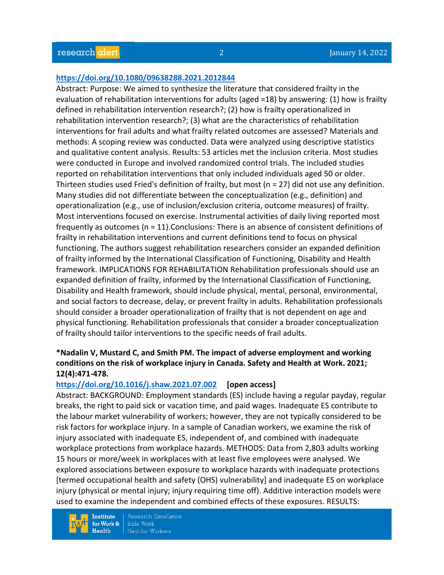#### **<https://doi.org/10.1080/09638288.2021.2012844>**

Abstract: Purpose: We aimed to synthesize the literature that considered frailty in the evaluation of rehabilitation interventions for adults (aged =18) by answering: (1) how is frailty defined in rehabilitation intervention research?; (2) how is frailty operationalized in rehabilitation intervention research?; (3) what are the characteristics of rehabilitation interventions for frail adults and what frailty related outcomes are assessed? Materials and methods: A scoping review was conducted. Data were analyzed using descriptive statistics and qualitative content analysis. Results: 53 articles met the inclusion criteria. Most studies were conducted in Europe and involved randomized control trials. The included studies reported on rehabilitation interventions that only included individuals aged 50 or older. Thirteen studies used Fried's definition of frailty, but most (n = 27) did not use any definition. Many studies did not differentiate between the conceptualization (e.g., definition) and operationalization (e.g., use of inclusion/exclusion criteria, outcome measures) of frailty. Most interventions focused on exercise. Instrumental activities of daily living reported most frequently as outcomes (n = 11).Conclusions: There is an absence of consistent definitions of frailty in rehabilitation interventions and current definitions tend to focus on physical functioning. The authors suggest rehabilitation researchers consider an expanded definition of frailty informed by the International Classification of Functioning, Disability and Health framework. IMPLICATIONS FOR REHABILITATION Rehabilitation professionals should use an expanded definition of frailty, informed by the International Classification of Functioning, Disability and Health framework, should include physical, mental, personal, environmental, and social factors to decrease, delay, or prevent frailty in adults. Rehabilitation professionals should consider a broader operationalization of frailty that is not dependent on age and physical functioning. Rehabilitation professionals that consider a broader conceptualization of frailty should tailor interventions to the specific needs of frail adults.

#### **\*Nadalin V, Mustard C, and Smith PM. The impact of adverse employment and working conditions on the risk of workplace injury in Canada. Safety and Health at Work. 2021; 12(4):471-478.**

#### **<https://doi.org/10.1016/j.shaw.2021.07.002> [open access]**

Abstract: BACKGROUND: Employment standards (ES) include having a regular payday, regular breaks, the right to paid sick or vacation time, and paid wages. Inadequate ES contribute to the labour market vulnerability of workers; however, they are not typically considered to be risk factors for workplace injury. In a sample of Canadian workers, we examine the risk of injury associated with inadequate ES, independent of, and combined with inadequate workplace protections from workplace hazards. METHODS: Data from 2,803 adults working 15 hours or more/week in workplaces with at least five employees were analysed. We explored associations between exposure to workplace hazards with inadequate protections [termed occupational health and safety (OHS) vulnerability] and inadequate ES on workplace injury (physical or mental injury; injury requiring time off). Additive interaction models were used to examine the independent and combined effects of these exposures. RESULTS:

**Institute** for Work &  $Health$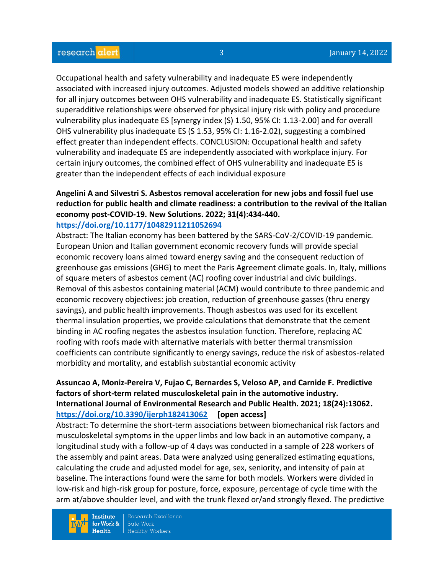Occupational health and safety vulnerability and inadequate ES were independently associated with increased injury outcomes. Adjusted models showed an additive relationship for all injury outcomes between OHS vulnerability and inadequate ES. Statistically significant superadditive relationships were observed for physical injury risk with policy and procedure vulnerability plus inadequate ES [synergy index (S) 1.50, 95% CI: 1.13-2.00] and for overall OHS vulnerability plus inadequate ES (S 1.53, 95% CI: 1.16-2.02), suggesting a combined effect greater than independent effects. CONCLUSION: Occupational health and safety vulnerability and inadequate ES are independently associated with workplace injury. For certain injury outcomes, the combined effect of OHS vulnerability and inadequate ES is greater than the independent effects of each individual exposure

#### **Angelini A and Silvestri S. Asbestos removal acceleration for new jobs and fossil fuel use reduction for public health and climate readiness: a contribution to the revival of the Italian economy post-COVID-19. New Solutions. 2022; 31(4):434-440. <https://doi.org/10.1177/10482911211052694>**

Abstract: The Italian economy has been battered by the SARS-CoV-2/COVID-19 pandemic. European Union and Italian government economic recovery funds will provide special economic recovery loans aimed toward energy saving and the consequent reduction of greenhouse gas emissions (GHG) to meet the Paris Agreement climate goals. In, Italy, millions of square meters of asbestos cement (AC) roofing cover industrial and civic buildings. Removal of this asbestos containing material (ACM) would contribute to three pandemic and economic recovery objectives: job creation, reduction of greenhouse gasses (thru energy savings), and public health improvements. Though asbestos was used for its excellent thermal insulation properties, we provide calculations that demonstrate that the cement binding in AC roofing negates the asbestos insulation function. Therefore, replacing AC roofing with roofs made with alternative materials with better thermal transmission coefficients can contribute significantly to energy savings, reduce the risk of asbestos-related morbidity and mortality, and establish substantial economic activity

# **Assuncao A, Moniz-Pereira V, Fujao C, Bernardes S, Veloso AP, and Carnide F. Predictive factors of short-term related musculoskeletal pain in the automotive industry. International Journal of Environmental Research and Public Health. 2021; 18(24):13062. <https://doi.org/10.3390/ijerph182413062> [open access]**

Abstract: To determine the short-term associations between biomechanical risk factors and musculoskeletal symptoms in the upper limbs and low back in an automotive company, a longitudinal study with a follow-up of 4 days was conducted in a sample of 228 workers of the assembly and paint areas. Data were analyzed using generalized estimating equations, calculating the crude and adjusted model for age, sex, seniority, and intensity of pain at baseline. The interactions found were the same for both models. Workers were divided in low-risk and high-risk group for posture, force, exposure, percentage of cycle time with the arm at/above shoulder level, and with the trunk flexed or/and strongly flexed. The predictive

**Institute** for Work &  $Health$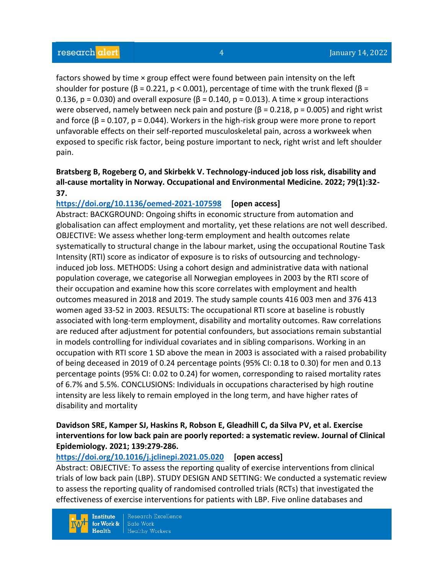factors showed by time × group effect were found between pain intensity on the left shoulder for posture ( $\beta$  = 0.221, p < 0.001), percentage of time with the trunk flexed ( $\beta$  = 0.136, p = 0.030) and overall exposure ( $\beta$  = 0.140, p = 0.013). A time × group interactions were observed, namely between neck pain and posture ( $\beta$  = 0.218, p = 0.005) and right wrist and force ( $\beta$  = 0.107,  $p$  = 0.044). Workers in the high-risk group were more prone to report unfavorable effects on their self-reported musculoskeletal pain, across a workweek when exposed to specific risk factor, being posture important to neck, right wrist and left shoulder pain.

# **Bratsberg B, Rogeberg O, and Skirbekk V. Technology-induced job loss risk, disability and all-cause mortality in Norway. Occupational and Environmental Medicine. 2022; 79(1):32- 37.**

# **<https://doi.org/10.1136/oemed-2021-107598> [open access]**

Abstract: BACKGROUND: Ongoing shifts in economic structure from automation and globalisation can affect employment and mortality, yet these relations are not well described. OBJECTIVE: We assess whether long-term employment and health outcomes relate systematically to structural change in the labour market, using the occupational Routine Task Intensity (RTI) score as indicator of exposure is to risks of outsourcing and technologyinduced job loss. METHODS: Using a cohort design and administrative data with national population coverage, we categorise all Norwegian employees in 2003 by the RTI score of their occupation and examine how this score correlates with employment and health outcomes measured in 2018 and 2019. The study sample counts 416 003 men and 376 413 women aged 33-52 in 2003. RESULTS: The occupational RTI score at baseline is robustly associated with long-term employment, disability and mortality outcomes. Raw correlations are reduced after adjustment for potential confounders, but associations remain substantial in models controlling for individual covariates and in sibling comparisons. Working in an occupation with RTI score 1 SD above the mean in 2003 is associated with a raised probability of being deceased in 2019 of 0.24 percentage points (95% CI: 0.18 to 0.30) for men and 0.13 percentage points (95% CI: 0.02 to 0.24) for women, corresponding to raised mortality rates of 6.7% and 5.5%. CONCLUSIONS: Individuals in occupations characterised by high routine intensity are less likely to remain employed in the long term, and have higher rates of disability and mortality

# **Davidson SRE, Kamper SJ, Haskins R, Robson E, Gleadhill C, da Silva PV, et al. Exercise interventions for low back pain are poorly reported: a systematic review. Journal of Clinical Epidemiology. 2021; 139:279-286.**

# **<https://doi.org/10.1016/j.jclinepi.2021.05.020> [open access]**

Abstract: OBJECTIVE: To assess the reporting quality of exercise interventions from clinical trials of low back pain (LBP). STUDY DESIGN AND SETTING: We conducted a systematic review to assess the reporting quality of randomised controlled trials (RCTs) that investigated the effectiveness of exercise interventions for patients with LBP. Five online databases and

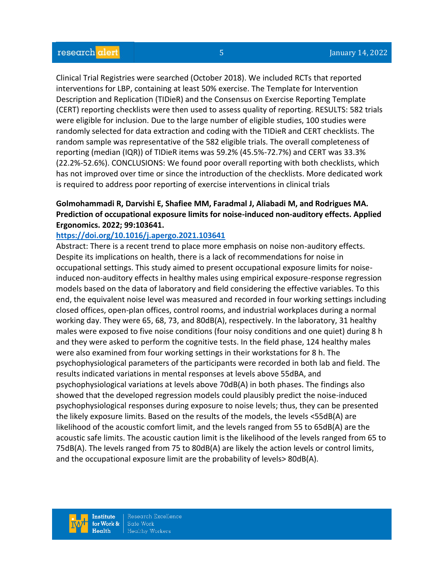Clinical Trial Registries were searched (October 2018). We included RCTs that reported interventions for LBP, containing at least 50% exercise. The Template for Intervention Description and Replication (TIDieR) and the Consensus on Exercise Reporting Template (CERT) reporting checklists were then used to assess quality of reporting. RESULTS: 582 trials were eligible for inclusion. Due to the large number of eligible studies, 100 studies were randomly selected for data extraction and coding with the TIDieR and CERT checklists. The random sample was representative of the 582 eligible trials. The overall completeness of reporting (median (IQR)) of TIDieR items was 59.2% (45.5%-72.7%) and CERT was 33.3% (22.2%-52.6%). CONCLUSIONS: We found poor overall reporting with both checklists, which has not improved over time or since the introduction of the checklists. More dedicated work is required to address poor reporting of exercise interventions in clinical trials

# **Golmohammadi R, Darvishi E, Shafiee MM, Faradmal J, Aliabadi M, and Rodrigues MA. Prediction of occupational exposure limits for noise-induced non-auditory effects. Applied Ergonomics. 2022; 99:103641.**

#### **<https://doi.org/10.1016/j.apergo.2021.103641>**

Abstract: There is a recent trend to place more emphasis on noise non-auditory effects. Despite its implications on health, there is a lack of recommendations for noise in occupational settings. This study aimed to present occupational exposure limits for noiseinduced non-auditory effects in healthy males using empirical exposure-response regression models based on the data of laboratory and field considering the effective variables. To this end, the equivalent noise level was measured and recorded in four working settings including closed offices, open-plan offices, control rooms, and industrial workplaces during a normal working day. They were 65, 68, 73, and 80dB(A), respectively. In the laboratory, 31 healthy males were exposed to five noise conditions (four noisy conditions and one quiet) during 8 h and they were asked to perform the cognitive tests. In the field phase, 124 healthy males were also examined from four working settings in their workstations for 8 h. The psychophysiological parameters of the participants were recorded in both lab and field. The results indicated variations in mental responses at levels above 55dBA, and psychophysiological variations at levels above 70dB(A) in both phases. The findings also showed that the developed regression models could plausibly predict the noise-induced psychophysiological responses during exposure to noise levels; thus, they can be presented the likely exposure limits. Based on the results of the models, the levels <55dB(A) are likelihood of the acoustic comfort limit, and the levels ranged from 55 to 65dB(A) are the acoustic safe limits. The acoustic caution limit is the likelihood of the levels ranged from 65 to 75dB(A). The levels ranged from 75 to 80dB(A) are likely the action levels or control limits, and the occupational exposure limit are the probability of levels> 80dB(A).

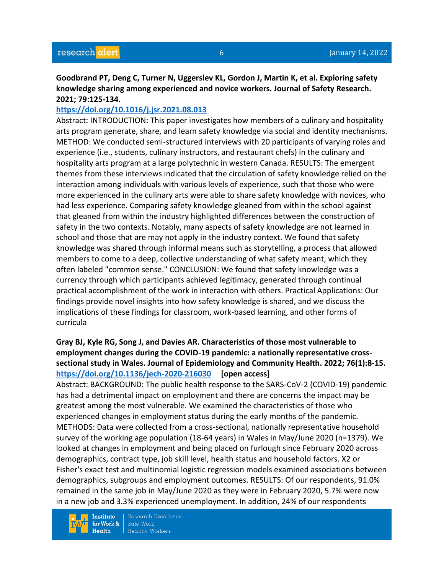### **Goodbrand PT, Deng C, Turner N, Uggerslev KL, Gordon J, Martin K, et al. Exploring safety knowledge sharing among experienced and novice workers. Journal of Safety Research. 2021; 79:125-134.**

#### **<https://doi.org/10.1016/j.jsr.2021.08.013>**

Abstract: INTRODUCTION: This paper investigates how members of a culinary and hospitality arts program generate, share, and learn safety knowledge via social and identity mechanisms. METHOD: We conducted semi-structured interviews with 20 participants of varying roles and experience (i.e., students, culinary instructors, and restaurant chefs) in the culinary and hospitality arts program at a large polytechnic in western Canada. RESULTS: The emergent themes from these interviews indicated that the circulation of safety knowledge relied on the interaction among individuals with various levels of experience, such that those who were more experienced in the culinary arts were able to share safety knowledge with novices, who had less experience. Comparing safety knowledge gleaned from within the school against that gleaned from within the industry highlighted differences between the construction of safety in the two contexts. Notably, many aspects of safety knowledge are not learned in school and those that are may not apply in the industry context. We found that safety knowledge was shared through informal means such as storytelling, a process that allowed members to come to a deep, collective understanding of what safety meant, which they often labeled "common sense." CONCLUSION: We found that safety knowledge was a currency through which participants achieved legitimacy, generated through continual practical accomplishment of the work in interaction with others. Practical Applications: Our findings provide novel insights into how safety knowledge is shared, and we discuss the implications of these findings for classroom, work-based learning, and other forms of curricula

## **Gray BJ, Kyle RG, Song J, and Davies AR. Characteristics of those most vulnerable to employment changes during the COVID-19 pandemic: a nationally representative crosssectional study in Wales. Journal of Epidemiology and Community Health. 2022; 76(1):8-15. <https://doi.org/10.1136/jech-2020-216030> [open access]**

Abstract: BACKGROUND: The public health response to the SARS-CoV-2 (COVID-19) pandemic has had a detrimental impact on employment and there are concerns the impact may be greatest among the most vulnerable. We examined the characteristics of those who experienced changes in employment status during the early months of the pandemic. METHODS: Data were collected from a cross-sectional, nationally representative household survey of the working age population (18-64 years) in Wales in May/June 2020 (n=1379). We looked at changes in employment and being placed on furlough since February 2020 across demographics, contract type, job skill level, health status and household factors. X2 or Fisher's exact test and multinomial logistic regression models examined associations between demographics, subgroups and employment outcomes. RESULTS: Of our respondents, 91.0% remained in the same job in May/June 2020 as they were in February 2020, 5.7% were now in a new job and 3.3% experienced unemployment. In addition, 24% of our respondents

**Institute** for Work &  $Health$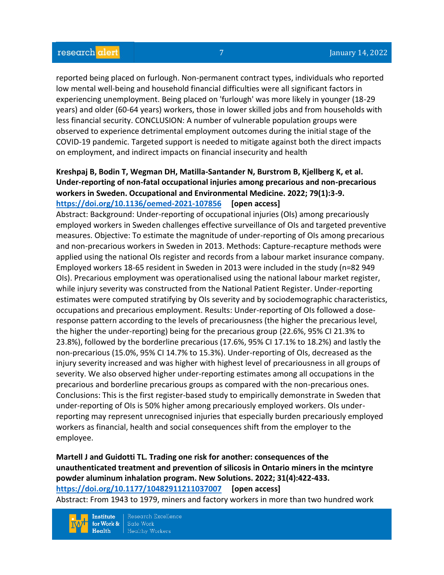reported being placed on furlough. Non-permanent contract types, individuals who reported low mental well-being and household financial difficulties were all significant factors in experiencing unemployment. Being placed on 'furlough' was more likely in younger (18-29 years) and older (60-64 years) workers, those in lower skilled jobs and from households with less financial security. CONCLUSION: A number of vulnerable population groups were observed to experience detrimental employment outcomes during the initial stage of the COVID-19 pandemic. Targeted support is needed to mitigate against both the direct impacts on employment, and indirect impacts on financial insecurity and health

## **Kreshpaj B, Bodin T, Wegman DH, Matilla-Santander N, Burstrom B, Kjellberg K, et al. Under-reporting of non-fatal occupational injuries among precarious and non-precarious workers in Sweden. Occupational and Environmental Medicine. 2022; 79(1):3-9. <https://doi.org/10.1136/oemed-2021-107856> [open access]**

Abstract: Background: Under-reporting of occupational injuries (OIs) among precariously employed workers in Sweden challenges effective surveillance of OIs and targeted preventive measures. Objective: To estimate the magnitude of under-reporting of OIs among precarious and non-precarious workers in Sweden in 2013. Methods: Capture-recapture methods were applied using the national OIs register and records from a labour market insurance company. Employed workers 18-65 resident in Sweden in 2013 were included in the study (n=82 949 OIs). Precarious employment was operationalised using the national labour market register, while injury severity was constructed from the National Patient Register. Under-reporting estimates were computed stratifying by OIs severity and by sociodemographic characteristics, occupations and precarious employment. Results: Under-reporting of OIs followed a doseresponse pattern according to the levels of precariousness (the higher the precarious level, the higher the under-reporting) being for the precarious group (22.6%, 95% CI 21.3% to 23.8%), followed by the borderline precarious (17.6%, 95% CI 17.1% to 18.2%) and lastly the non-precarious (15.0%, 95% CI 14.7% to 15.3%). Under-reporting of OIs, decreased as the injury severity increased and was higher with highest level of precariousness in all groups of severity. We also observed higher under-reporting estimates among all occupations in the precarious and borderline precarious groups as compared with the non-precarious ones. Conclusions: This is the first register-based study to empirically demonstrate in Sweden that under-reporting of OIs is 50% higher among precariously employed workers. OIs underreporting may represent unrecognised injuries that especially burden precariously employed workers as financial, health and social consequences shift from the employer to the employee.

# **Martell J and Guidotti TL. Trading one risk for another: consequences of the unauthenticated treatment and prevention of silicosis in Ontario miners in the mcintyre powder aluminum inhalation program. New Solutions. 2022; 31(4):422-433. <https://doi.org/10.1177/10482911211037007> [open access]**

Abstract: From 1943 to 1979, miners and factory workers in more than two hundred work

Research Excellence **Institute** for Work & Safe Work  $Health$ **Healthy Workers**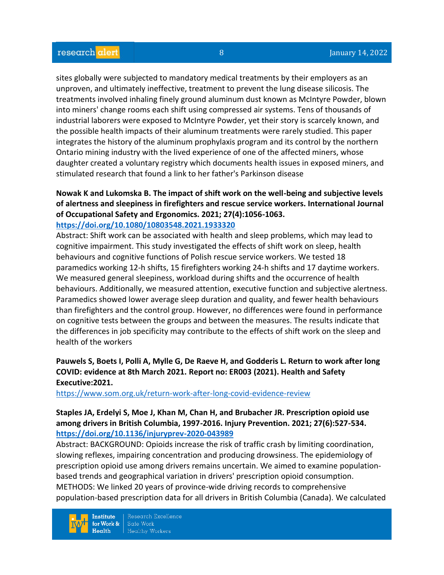sites globally were subjected to mandatory medical treatments by their employers as an unproven, and ultimately ineffective, treatment to prevent the lung disease silicosis. The treatments involved inhaling finely ground aluminum dust known as McIntyre Powder, blown into miners' change rooms each shift using compressed air systems. Tens of thousands of industrial laborers were exposed to McIntyre Powder, yet their story is scarcely known, and the possible health impacts of their aluminum treatments were rarely studied. This paper integrates the history of the aluminum prophylaxis program and its control by the northern Ontario mining industry with the lived experience of one of the affected miners, whose daughter created a voluntary registry which documents health issues in exposed miners, and stimulated research that found a link to her father's Parkinson disease

#### **Nowak K and Lukomska B. The impact of shift work on the well-being and subjective levels of alertness and sleepiness in firefighters and rescue service workers. International Journal of Occupational Safety and Ergonomics. 2021; 27(4):1056-1063. <https://doi.org/10.1080/10803548.2021.1933320>**

Abstract: Shift work can be associated with health and sleep problems, which may lead to cognitive impairment. This study investigated the effects of shift work on sleep, health behaviours and cognitive functions of Polish rescue service workers. We tested 18 paramedics working 12-h shifts, 15 firefighters working 24-h shifts and 17 daytime workers. We measured general sleepiness, workload during shifts and the occurrence of health behaviours. Additionally, we measured attention, executive function and subjective alertness. Paramedics showed lower average sleep duration and quality, and fewer health behaviours than firefighters and the control group. However, no differences were found in performance on cognitive tests between the groups and between the measures. The results indicate that the differences in job specificity may contribute to the effects of shift work on the sleep and health of the workers

# **Pauwels S, Boets I, Polli A, Mylle G, De Raeve H, and Godderis L. Return to work after long COVID: evidence at 8th March 2021. Report no: ER003 (2021). Health and Safety Executive:2021.**

<https://www.som.org.uk/return-work-after-long-covid-evidence-review>

#### **Staples JA, Erdelyi S, Moe J, Khan M, Chan H, and Brubacher JR. Prescription opioid use among drivers in British Columbia, 1997-2016. Injury Prevention. 2021; 27(6):527-534. <https://doi.org/10.1136/injuryprev-2020-043989>**

Abstract: BACKGROUND: Opioids increase the risk of traffic crash by limiting coordination, slowing reflexes, impairing concentration and producing drowsiness. The epidemiology of prescription opioid use among drivers remains uncertain. We aimed to examine populationbased trends and geographical variation in drivers' prescription opioid consumption. METHODS: We linked 20 years of province-wide driving records to comprehensive population-based prescription data for all drivers in British Columbia (Canada). We calculated

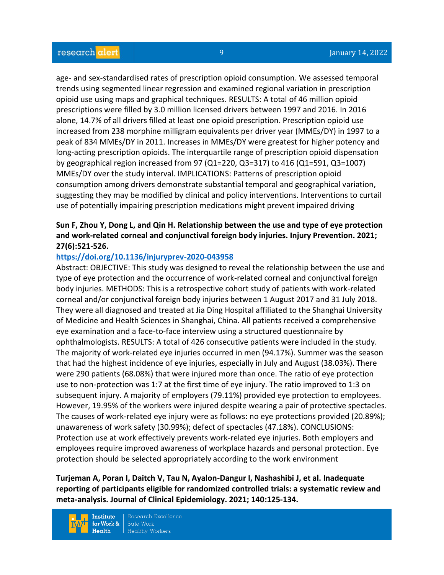age- and sex-standardised rates of prescription opioid consumption. We assessed temporal trends using segmented linear regression and examined regional variation in prescription opioid use using maps and graphical techniques. RESULTS: A total of 46 million opioid prescriptions were filled by 3.0 million licensed drivers between 1997 and 2016. In 2016 alone, 14.7% of all drivers filled at least one opioid prescription. Prescription opioid use increased from 238 morphine milligram equivalents per driver year (MMEs/DY) in 1997 to a peak of 834 MMEs/DY in 2011. Increases in MMEs/DY were greatest for higher potency and long-acting prescription opioids. The interquartile range of prescription opioid dispensation by geographical region increased from 97 (Q1=220, Q3=317) to 416 (Q1=591, Q3=1007) MMEs/DY over the study interval. IMPLICATIONS: Patterns of prescription opioid consumption among drivers demonstrate substantial temporal and geographical variation, suggesting they may be modified by clinical and policy interventions. Interventions to curtail use of potentially impairing prescription medications might prevent impaired driving

# **Sun F, Zhou Y, Dong L, and Qin H. Relationship between the use and type of eye protection and work-related corneal and conjunctival foreign body injuries. Injury Prevention. 2021; 27(6):521-526.**

#### **<https://doi.org/10.1136/injuryprev-2020-043958>**

Abstract: OBJECTIVE: This study was designed to reveal the relationship between the use and type of eye protection and the occurrence of work-related corneal and conjunctival foreign body injuries. METHODS: This is a retrospective cohort study of patients with work-related corneal and/or conjunctival foreign body injuries between 1 August 2017 and 31 July 2018. They were all diagnosed and treated at Jia Ding Hospital affiliated to the Shanghai University of Medicine and Health Sciences in Shanghai, China. All patients received a comprehensive eye examination and a face-to-face interview using a structured questionnaire by ophthalmologists. RESULTS: A total of 426 consecutive patients were included in the study. The majority of work-related eye injuries occurred in men (94.17%). Summer was the season that had the highest incidence of eye injuries, especially in July and August (38.03%). There were 290 patients (68.08%) that were injured more than once. The ratio of eye protection use to non-protection was 1:7 at the first time of eye injury. The ratio improved to 1:3 on subsequent injury. A majority of employers (79.11%) provided eye protection to employees. However, 19.95% of the workers were injured despite wearing a pair of protective spectacles. The causes of work-related eye injury were as follows: no eye protections provided (20.89%); unawareness of work safety (30.99%); defect of spectacles (47.18%). CONCLUSIONS: Protection use at work effectively prevents work-related eye injuries. Both employers and employees require improved awareness of workplace hazards and personal protection. Eye protection should be selected appropriately according to the work environment

**Turjeman A, Poran I, Daitch V, Tau N, Ayalon-Dangur I, Nashashibi J, et al. Inadequate reporting of participants eligible for randomized controlled trials: a systematic review and meta-analysis. Journal of Clinical Epidemiology. 2021; 140:125-134.** 

**Institute** for Work &  $Health$